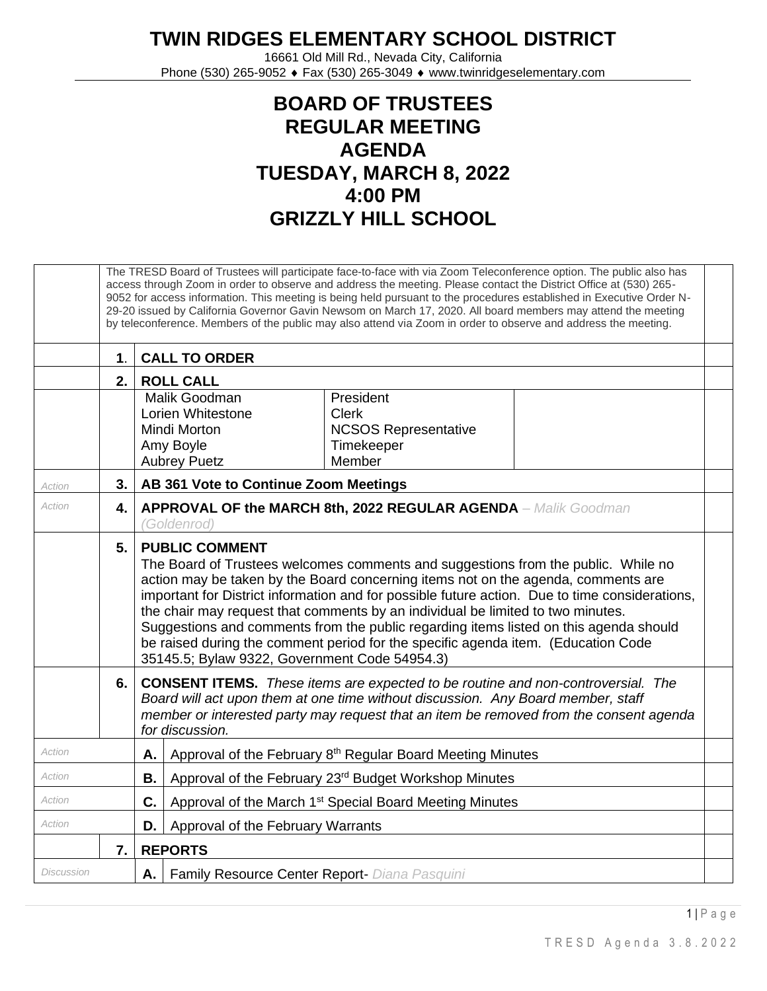## **TWIN RIDGES ELEMENTARY SCHOOL DISTRICT**

16661 Old Mill Rd., Nevada City, California Phone (530) 265-9052 ♦ Fax (530) 265-3049 ♦ www.twinridgeselementary.com

## **BOARD OF TRUSTEES REGULAR MEETING AGENDA TUESDAY, MARCH 8, 2022 4:00 PM GRIZZLY HILL SCHOOL**

|            |               | The TRESD Board of Trustees will participate face-to-face with via Zoom Teleconference option. The public also has<br>access through Zoom in order to observe and address the meeting. Please contact the District Office at (530) 265-<br>9052 for access information. This meeting is being held pursuant to the procedures established in Executive Order N-<br>29-20 issued by California Governor Gavin Newsom on March 17, 2020. All board members may attend the meeting<br>by teleconference. Members of the public may also attend via Zoom in order to observe and address the meeting.                   |  |  |  |  |  |  |  |  |  |
|------------|---------------|---------------------------------------------------------------------------------------------------------------------------------------------------------------------------------------------------------------------------------------------------------------------------------------------------------------------------------------------------------------------------------------------------------------------------------------------------------------------------------------------------------------------------------------------------------------------------------------------------------------------|--|--|--|--|--|--|--|--|--|
|            | $\mathbf 1$ . | <b>CALL TO ORDER</b>                                                                                                                                                                                                                                                                                                                                                                                                                                                                                                                                                                                                |  |  |  |  |  |  |  |  |  |
|            | 2.            | <b>ROLL CALL</b>                                                                                                                                                                                                                                                                                                                                                                                                                                                                                                                                                                                                    |  |  |  |  |  |  |  |  |  |
|            |               | Malik Goodman<br>President<br>Lorien Whitestone<br><b>Clerk</b><br><b>NCSOS Representative</b><br>Mindi Morton<br>Amy Boyle<br>Timekeeper<br>Member<br><b>Aubrey Puetz</b>                                                                                                                                                                                                                                                                                                                                                                                                                                          |  |  |  |  |  |  |  |  |  |
| Action     | 3.            | AB 361 Vote to Continue Zoom Meetings                                                                                                                                                                                                                                                                                                                                                                                                                                                                                                                                                                               |  |  |  |  |  |  |  |  |  |
| Action     | 4.            | <b>APPROVAL OF the MARCH 8th, 2022 REGULAR AGENDA</b> - Malik Goodman<br>(Goldenrod)                                                                                                                                                                                                                                                                                                                                                                                                                                                                                                                                |  |  |  |  |  |  |  |  |  |
|            | 5.            | <b>PUBLIC COMMENT</b><br>The Board of Trustees welcomes comments and suggestions from the public. While no<br>action may be taken by the Board concerning items not on the agenda, comments are<br>important for District information and for possible future action. Due to time considerations,<br>the chair may request that comments by an individual be limited to two minutes.<br>Suggestions and comments from the public regarding items listed on this agenda should<br>be raised during the comment period for the specific agenda item. (Education Code<br>35145.5; Bylaw 9322, Government Code 54954.3) |  |  |  |  |  |  |  |  |  |
|            | 6.            | <b>CONSENT ITEMS.</b> These items are expected to be routine and non-controversial. The<br>Board will act upon them at one time without discussion. Any Board member, staff<br>member or interested party may request that an item be removed from the consent agenda<br>for discussion.                                                                                                                                                                                                                                                                                                                            |  |  |  |  |  |  |  |  |  |
| Action     |               | Approval of the February 8 <sup>th</sup> Regular Board Meeting Minutes<br>А.                                                                                                                                                                                                                                                                                                                                                                                                                                                                                                                                        |  |  |  |  |  |  |  |  |  |
| Action     |               | Approval of the February 23rd Budget Workshop Minutes                                                                                                                                                                                                                                                                                                                                                                                                                                                                                                                                                               |  |  |  |  |  |  |  |  |  |
| Action     |               | Approval of the March 1 <sup>st</sup> Special Board Meeting Minutes                                                                                                                                                                                                                                                                                                                                                                                                                                                                                                                                                 |  |  |  |  |  |  |  |  |  |
| Action     |               | Approval of the February Warrants<br>D.                                                                                                                                                                                                                                                                                                                                                                                                                                                                                                                                                                             |  |  |  |  |  |  |  |  |  |
|            | 7.            | <b>REPORTS</b>                                                                                                                                                                                                                                                                                                                                                                                                                                                                                                                                                                                                      |  |  |  |  |  |  |  |  |  |
| Discussion |               | Family Resource Center Report- Diana Pasquini<br>Α.                                                                                                                                                                                                                                                                                                                                                                                                                                                                                                                                                                 |  |  |  |  |  |  |  |  |  |

1 | P a g e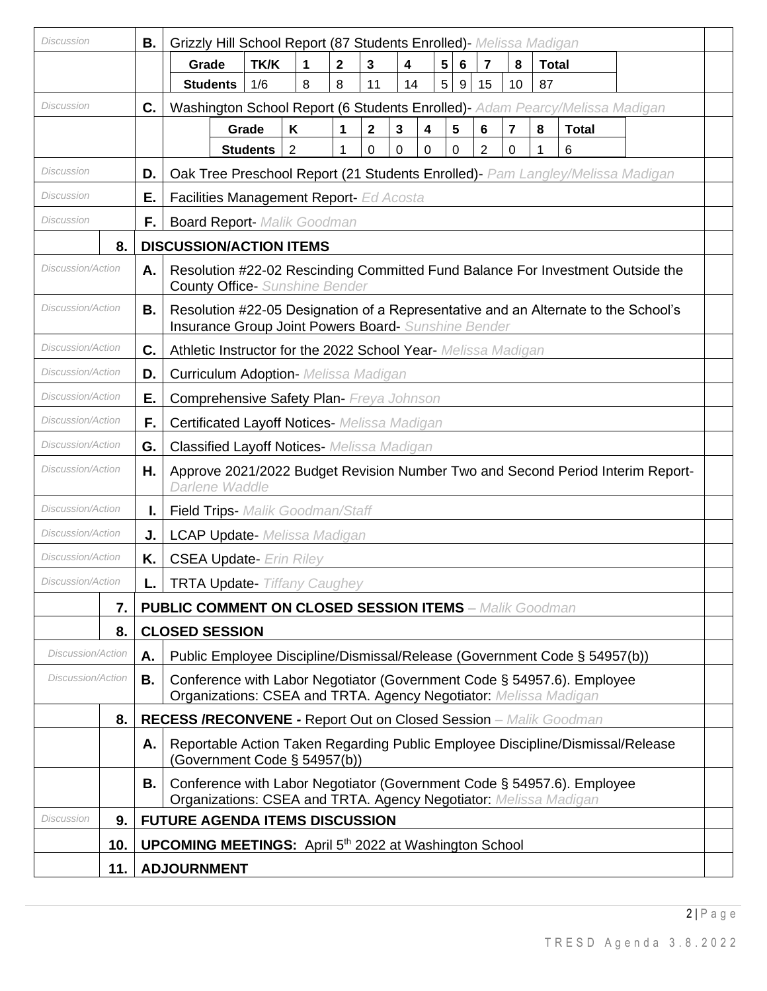| Discussion               |     | В.                                       | Grizzly Hill School Report (87 Students Enrolled) - Melissa Madigan                                                                                                                                                     |                                                                                                                         |                |                |                |                   |   |             |                |                         |              |              |  |  |
|--------------------------|-----|------------------------------------------|-------------------------------------------------------------------------------------------------------------------------------------------------------------------------------------------------------------------------|-------------------------------------------------------------------------------------------------------------------------|----------------|----------------|----------------|-------------------|---|-------------|----------------|-------------------------|--------------|--------------|--|--|
|                          |     |                                          | Grade                                                                                                                                                                                                                   | TK/K                                                                                                                    | 1              | $\overline{2}$ | 3              | 4                 | 5 | 6           | $\overline{7}$ | 8                       | <b>Total</b> |              |  |  |
|                          |     |                                          | <b>Students</b>                                                                                                                                                                                                         | 1/6                                                                                                                     | 8              | 8              | 11             | 14                | 5 | $\mathsf g$ | 15             | 10                      | 87           |              |  |  |
| Discussion               |     | C.                                       | Washington School Report (6 Students Enrolled)- Adam Pearcy/Melissa Madigan                                                                                                                                             |                                                                                                                         |                |                |                |                   |   |             |                |                         |              |              |  |  |
|                          |     |                                          |                                                                                                                                                                                                                         | Grade                                                                                                                   | Κ              | 1              | $\overline{2}$ | $\mathbf{3}$<br>4 |   | 5           | 6              | $\overline{\mathbf{r}}$ | 8            | <b>Total</b> |  |  |
|                          |     |                                          |                                                                                                                                                                                                                         | <b>Students</b>                                                                                                         | $\overline{2}$ | 1              | 0              | 0<br>0            |   | 0           | $\overline{2}$ | 0                       | 1            | 6            |  |  |
| Discussion               |     | D.                                       |                                                                                                                                                                                                                         | Oak Tree Preschool Report (21 Students Enrolled) - Pam Langley/Melissa Madigan                                          |                |                |                |                   |   |             |                |                         |              |              |  |  |
| Discussion               |     | Е.                                       | Facilities Management Report- Ed Acosta                                                                                                                                                                                 |                                                                                                                         |                |                |                |                   |   |             |                |                         |              |              |  |  |
| <b>Discussion</b>        |     | F.<br><b>Board Report- Malik Goodman</b> |                                                                                                                                                                                                                         |                                                                                                                         |                |                |                |                   |   |             |                |                         |              |              |  |  |
|                          | 8.  |                                          |                                                                                                                                                                                                                         | <b>DISCUSSION/ACTION ITEMS</b>                                                                                          |                |                |                |                   |   |             |                |                         |              |              |  |  |
| Discussion/Action        |     | Α.                                       |                                                                                                                                                                                                                         | Resolution #22-02 Rescinding Committed Fund Balance For Investment Outside the<br><b>County Office-</b> Sunshine Bender |                |                |                |                   |   |             |                |                         |              |              |  |  |
| Discussion/Action        |     | В.                                       | Resolution #22-05 Designation of a Representative and an Alternate to the School's<br>Insurance Group Joint Powers Board- Sunshine Bender                                                                               |                                                                                                                         |                |                |                |                   |   |             |                |                         |              |              |  |  |
| Discussion/Action        |     | C.                                       |                                                                                                                                                                                                                         | Athletic Instructor for the 2022 School Year- Melissa Madigan                                                           |                |                |                |                   |   |             |                |                         |              |              |  |  |
| <b>Discussion/Action</b> |     | D.                                       |                                                                                                                                                                                                                         | <b>Curriculum Adoption- Melissa Madigan</b>                                                                             |                |                |                |                   |   |             |                |                         |              |              |  |  |
| Discussion/Action        |     | Е.                                       |                                                                                                                                                                                                                         | <b>Comprehensive Safety Plan- Freya Johnson</b>                                                                         |                |                |                |                   |   |             |                |                         |              |              |  |  |
| Discussion/Action        |     | F.                                       |                                                                                                                                                                                                                         | <b>Certificated Layoff Notices- Melissa Madigan</b>                                                                     |                |                |                |                   |   |             |                |                         |              |              |  |  |
| Discussion/Action        |     | G.                                       | <b>Classified Layoff Notices- Melissa Madigan</b>                                                                                                                                                                       |                                                                                                                         |                |                |                |                   |   |             |                |                         |              |              |  |  |
| Discussion/Action        |     | Η.                                       | Approve 2021/2022 Budget Revision Number Two and Second Period Interim Report-<br>Darlene Waddle                                                                                                                        |                                                                                                                         |                |                |                |                   |   |             |                |                         |              |              |  |  |
| Discussion/Action        |     | ı.                                       | <b>Field Trips-</b> Malik Goodman/Staff                                                                                                                                                                                 |                                                                                                                         |                |                |                |                   |   |             |                |                         |              |              |  |  |
| <b>Discussion/Action</b> |     | J.                                       | <b>LCAP Update-</b> Melissa Madigan                                                                                                                                                                                     |                                                                                                                         |                |                |                |                   |   |             |                |                         |              |              |  |  |
| Discussion/Action        |     | Κ.                                       | <b>CSEA Update-</b> Erin Riley                                                                                                                                                                                          |                                                                                                                         |                |                |                |                   |   |             |                |                         |              |              |  |  |
| Discussion/Action        |     | L.                                       | <b>TRTA Update- Tiffany Caughey</b>                                                                                                                                                                                     |                                                                                                                         |                |                |                |                   |   |             |                |                         |              |              |  |  |
|                          | 7.  |                                          |                                                                                                                                                                                                                         | <b>PUBLIC COMMENT ON CLOSED SESSION ITEMS - Malik Goodman</b>                                                           |                |                |                |                   |   |             |                |                         |              |              |  |  |
|                          | 8.  |                                          | <b>CLOSED SESSION</b>                                                                                                                                                                                                   |                                                                                                                         |                |                |                |                   |   |             |                |                         |              |              |  |  |
| <b>Discussion/Action</b> |     | Α.                                       |                                                                                                                                                                                                                         |                                                                                                                         |                |                |                |                   |   |             |                |                         |              |              |  |  |
| Discussion/Action        |     | В.                                       | Public Employee Discipline/Dismissal/Release (Government Code § 54957(b))<br>Conference with Labor Negotiator (Government Code § 54957.6). Employee<br>Organizations: CSEA and TRTA. Agency Negotiator: Melissa Madigan |                                                                                                                         |                |                |                |                   |   |             |                |                         |              |              |  |  |
|                          | 8.  |                                          | <b>RECESS /RECONVENE - Report Out on Closed Session</b> - Malik Goodman                                                                                                                                                 |                                                                                                                         |                |                |                |                   |   |             |                |                         |              |              |  |  |
|                          |     | Α.                                       | Reportable Action Taken Regarding Public Employee Discipline/Dismissal/Release<br>(Government Code § 54957(b))                                                                                                          |                                                                                                                         |                |                |                |                   |   |             |                |                         |              |              |  |  |
|                          |     | В.                                       | Conference with Labor Negotiator (Government Code § 54957.6). Employee<br>Organizations: CSEA and TRTA. Agency Negotiator: Melissa Madigan                                                                              |                                                                                                                         |                |                |                |                   |   |             |                |                         |              |              |  |  |
| <b>Discussion</b>        | 9.  |                                          | <b>FUTURE AGENDA ITEMS DISCUSSION</b>                                                                                                                                                                                   |                                                                                                                         |                |                |                |                   |   |             |                |                         |              |              |  |  |
|                          | 10. |                                          | <b>UPCOMING MEETINGS:</b> April 5 <sup>th</sup> 2022 at Washington School                                                                                                                                               |                                                                                                                         |                |                |                |                   |   |             |                |                         |              |              |  |  |
|                          | 11. |                                          | <b>ADJOURNMENT</b>                                                                                                                                                                                                      |                                                                                                                         |                |                |                |                   |   |             |                |                         |              |              |  |  |
|                          |     |                                          |                                                                                                                                                                                                                         |                                                                                                                         |                |                |                |                   |   |             |                |                         |              |              |  |  |